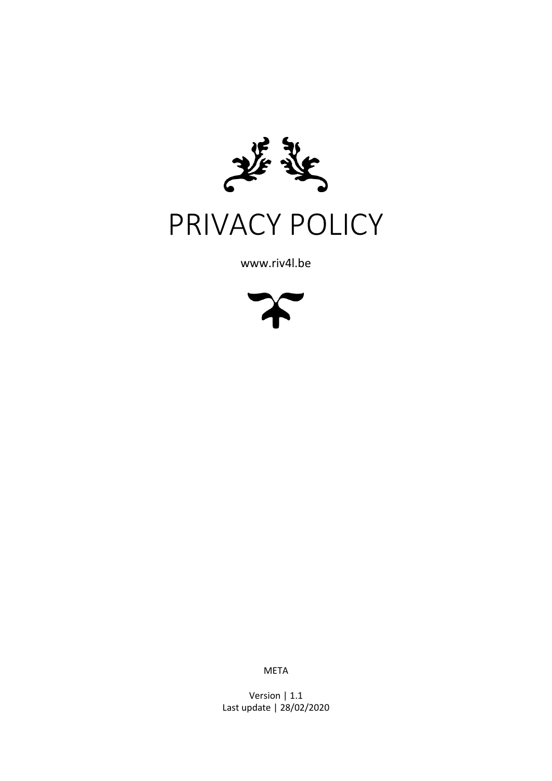

# PRIVACY POLICY

www.riv4l.be



META

Version | 1.1 Last update | 28/02/2020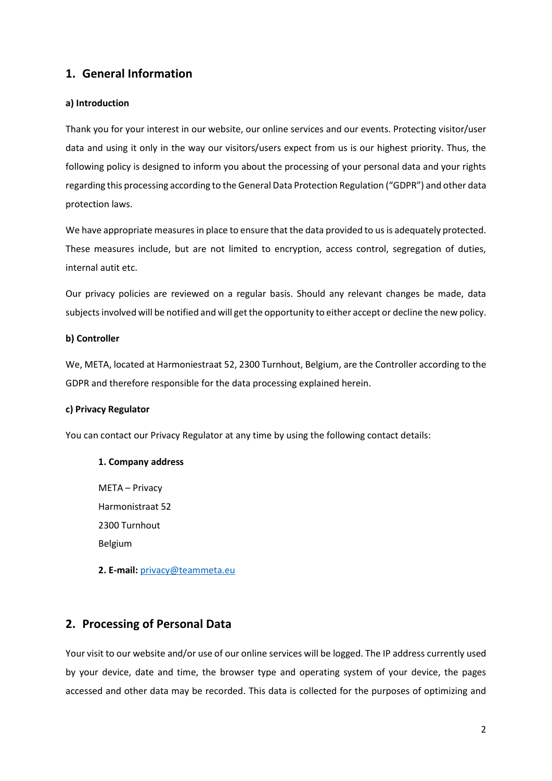# **1. General Information**

# **a) Introduction**

Thank you for your interest in our website, our online services and our events. Protecting visitor/user data and using it only in the way our visitors/users expect from us is our highest priority. Thus, the following policy is designed to inform you about the processing of your personal data and your rights regarding this processing according to the General Data Protection Regulation ("GDPR") and other data protection laws.

We have appropriate measures in place to ensure that the data provided to us is adequately protected. These measures include, but are not limited to encryption, access control, segregation of duties, internal autit etc.

Our privacy policies are reviewed on a regular basis. Should any relevant changes be made, data subjects involved will be notified and will get the opportunity to either accept or decline the new policy.

## **b) Controller**

We, META, located at Harmoniestraat 52, 2300 Turnhout, Belgium, are the Controller according to the GDPR and therefore responsible for the data processing explained herein.

## **c) Privacy Regulator**

You can contact our Privacy Regulator at any time by using the following contact details:

# **1. Company address**

META – Privacy Harmonistraat 52 2300 Turnhout Belgium

**2. E-mail:** [privacy@teammeta.eu](mailto:privacy@teammeta.eu)

# **2. Processing of Personal Data**

Your visit to our website and/or use of our online services will be logged. The IP address currently used by your device, date and time, the browser type and operating system of your device, the pages accessed and other data may be recorded. This data is collected for the purposes of optimizing and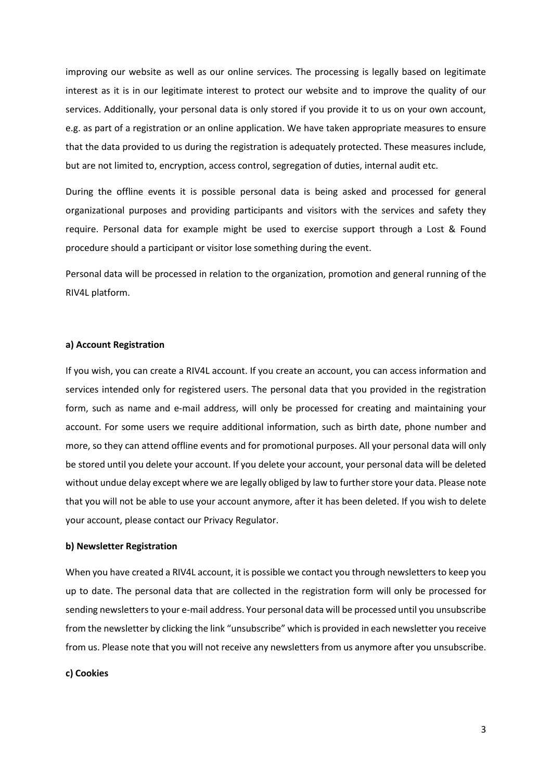improving our website as well as our online services. The processing is legally based on legitimate interest as it is in our legitimate interest to protect our website and to improve the quality of our services. Additionally, your personal data is only stored if you provide it to us on your own account, e.g. as part of a registration or an online application. We have taken appropriate measures to ensure that the data provided to us during the registration is adequately protected. These measures include, but are not limited to, encryption, access control, segregation of duties, internal audit etc.

During the offline events it is possible personal data is being asked and processed for general organizational purposes and providing participants and visitors with the services and safety they require. Personal data for example might be used to exercise support through a Lost & Found procedure should a participant or visitor lose something during the event.

Personal data will be processed in relation to the organization, promotion and general running of the RIV4L platform.

#### **a) Account Registration**

If you wish, you can create a RIV4L account. If you create an account, you can access information and services intended only for registered users. The personal data that you provided in the registration form, such as name and e-mail address, will only be processed for creating and maintaining your account. For some users we require additional information, such as birth date, phone number and more, so they can attend offline events and for promotional purposes. All your personal data will only be stored until you delete your account. If you delete your account, your personal data will be deleted without undue delay except where we are legally obliged by law to further store your data. Please note that you will not be able to use your account anymore, after it has been deleted. If you wish to delete your account, please contact our Privacy Regulator.

#### **b) Newsletter Registration**

When you have created a RIV4L account, it is possible we contact you through newsletters to keep you up to date. The personal data that are collected in the registration form will only be processed for sending newsletters to your e-mail address. Your personal data will be processed until you unsubscribe from the newsletter by clicking the link "unsubscribe" which is provided in each newsletter you receive from us. Please note that you will not receive any newsletters from us anymore after you unsubscribe.

#### **c) Cookies**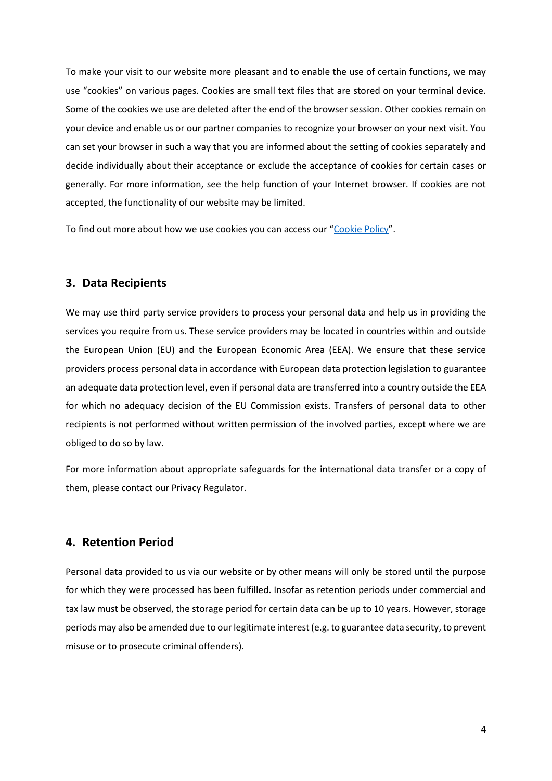To make your visit to our website more pleasant and to enable the use of certain functions, we may use "cookies" on various pages. Cookies are small text files that are stored on your terminal device. Some of the cookies we use are deleted after the end of the browser session. Other cookies remain on your device and enable us or our partner companies to recognize your browser on your next visit. You can set your browser in such a way that you are informed about the setting of cookies separately and decide individually about their acceptance or exclude the acceptance of cookies for certain cases or generally. For more information, see the help function of your Internet browser. If cookies are not accepted, the functionality of our website may be limited.

To find out more about how we use cookies you can access our "[Cookie Policy](https://riv4l.be/cookies)".

# **3. Data Recipients**

We may use third party service providers to process your personal data and help us in providing the services you require from us. These service providers may be located in countries within and outside the European Union (EU) and the European Economic Area (EEA). We ensure that these service providers process personal data in accordance with European data protection legislation to guarantee an adequate data protection level, even if personal data are transferred into a country outside the EEA for which no adequacy decision of the EU Commission exists. Transfers of personal data to other recipients is not performed without written permission of the involved parties, except where we are obliged to do so by law.

For more information about appropriate safeguards for the international data transfer or a copy of them, please contact our Privacy Regulator.

# **4. Retention Period**

Personal data provided to us via our website or by other means will only be stored until the purpose for which they were processed has been fulfilled. Insofar as retention periods under commercial and tax law must be observed, the storage period for certain data can be up to 10 years. However, storage periods may also be amended due to our legitimate interest (e.g. to guarantee data security, to prevent misuse or to prosecute criminal offenders).